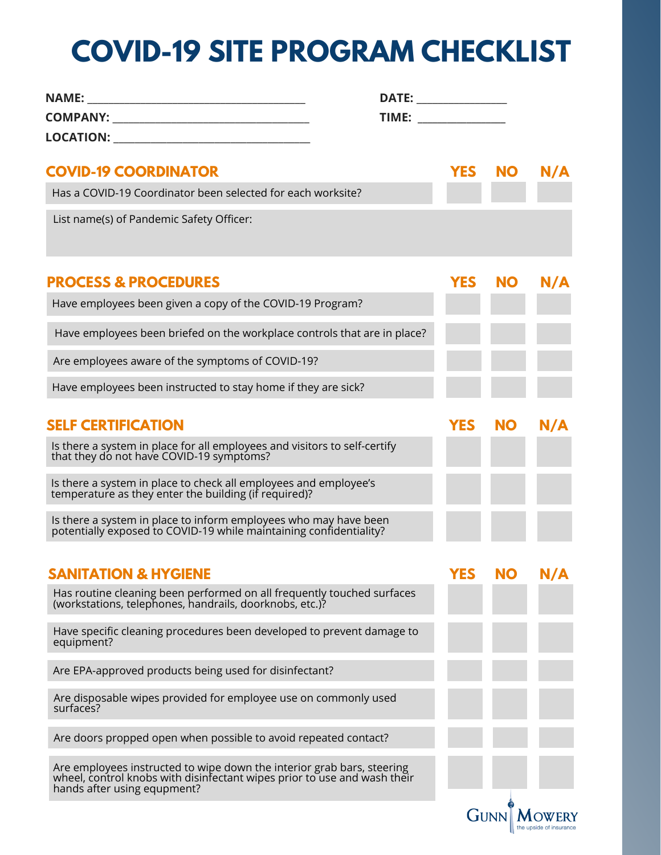## **COVID-19 SITE PROGRAM CHECKLIST**

|                                                                                                                                                                                   | DATE: ________________                                                                                                                                                                                                         |            |           |     |
|-----------------------------------------------------------------------------------------------------------------------------------------------------------------------------------|--------------------------------------------------------------------------------------------------------------------------------------------------------------------------------------------------------------------------------|------------|-----------|-----|
|                                                                                                                                                                                   | TIME: New York Production of the Contract of the Contract of the Contract of the Contract of the Contract of the Contract of the Contract of the Contract of the Contract of the Contract of the Contract of the Contract of t |            |           |     |
| LOCATION: ___________________________________                                                                                                                                     |                                                                                                                                                                                                                                |            |           |     |
| <b>COVID-19 COORDINATOR</b>                                                                                                                                                       |                                                                                                                                                                                                                                | <b>YES</b> | <b>NO</b> | N/A |
| Has a COVID-19 Coordinator been selected for each worksite?                                                                                                                       |                                                                                                                                                                                                                                |            |           |     |
| List name(s) of Pandemic Safety Officer:                                                                                                                                          |                                                                                                                                                                                                                                |            |           |     |
| <b>PROCESS &amp; PROCEDURES</b>                                                                                                                                                   |                                                                                                                                                                                                                                | <b>YES</b> | <b>NO</b> | N/A |
| Have employees been given a copy of the COVID-19 Program?                                                                                                                         |                                                                                                                                                                                                                                |            |           |     |
| Have employees been briefed on the workplace controls that are in place?                                                                                                          |                                                                                                                                                                                                                                |            |           |     |
| Are employees aware of the symptoms of COVID-19?                                                                                                                                  |                                                                                                                                                                                                                                |            |           |     |
| Have employees been instructed to stay home if they are sick?                                                                                                                     |                                                                                                                                                                                                                                |            |           |     |
| <b>SELF CERTIFICATION</b>                                                                                                                                                         |                                                                                                                                                                                                                                | <b>YES</b> | <b>NO</b> | N/A |
| Is there a system in place for all employees and visitors to self-certify that they do not have COVID-19 symptoms?                                                                |                                                                                                                                                                                                                                |            |           |     |
| Is there a system in place to check all employees and employee's temperature as they enter the building (if required)?                                                            |                                                                                                                                                                                                                                |            |           |     |
| Is there a system in place to inform employees who may have been<br>potentially exposed to COVID-19 while maintaining confidentiality?                                            |                                                                                                                                                                                                                                |            |           |     |
| <b>SANITATION &amp; HYGIENE</b>                                                                                                                                                   |                                                                                                                                                                                                                                | YES        | <b>NO</b> |     |
| Has routine cleaning been performed on all frequently touched surfaces<br>(workstations, telephones, handrails, doorknobs, etc.)?                                                 |                                                                                                                                                                                                                                |            |           |     |
| Have specific cleaning procedures been developed to prevent damage to<br>equipment?                                                                                               |                                                                                                                                                                                                                                |            |           |     |
| Are EPA-approved products being used for disinfectant?                                                                                                                            |                                                                                                                                                                                                                                |            |           |     |
| Are disposable wipes provided for employee use on commonly used<br>surfaces?                                                                                                      |                                                                                                                                                                                                                                |            |           |     |
| Are doors propped open when possible to avoid repeated contact?                                                                                                                   |                                                                                                                                                                                                                                |            |           |     |
| Are employees instructed to wipe down the interior grab bars, steering<br>wheel, control knobs with disinfectant wipes prior to use and wash their<br>hands after using equpment? |                                                                                                                                                                                                                                |            |           |     |
|                                                                                                                                                                                   |                                                                                                                                                                                                                                | GUNN       |           |     |